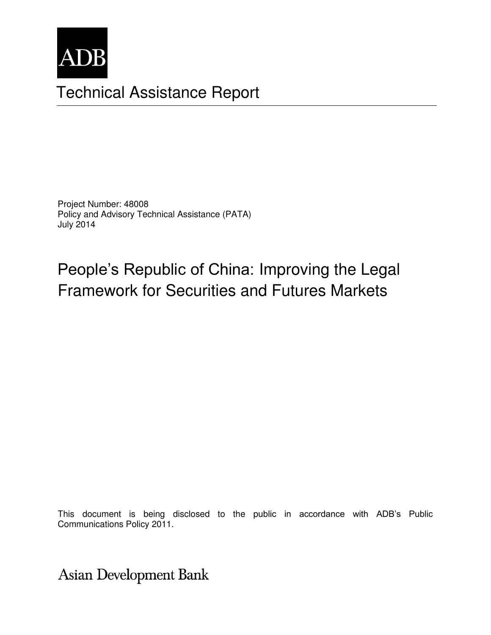

# Technical Assistance Report

Project Number: 48008 Policy and Advisory Technical Assistance (PATA) July 2014

# People's Republic of China: Improving the Legal Framework for Securities and Futures Markets

This document is being disclosed to the public in accordance with ADB's Public Communications Policy 2011.

**Asian Development Bank**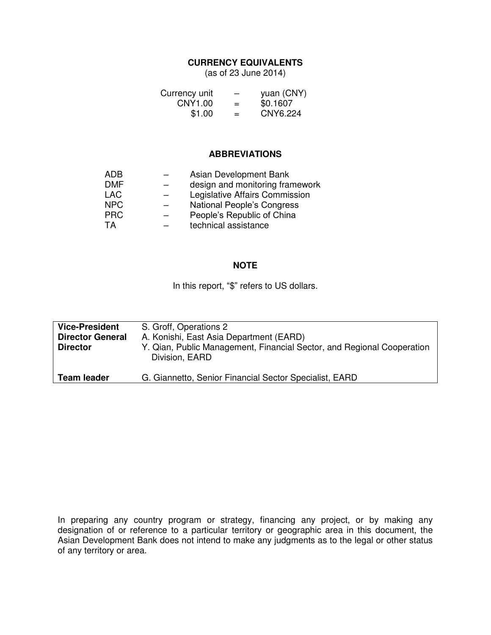#### **CURRENCY EQUIVALENTS**

(as of 23 June 2014)

| Currency unit | -   | yuan (CNY) |
|---------------|-----|------------|
| CNY1.00       | $=$ | \$0.1607   |
| \$1.00        | $=$ | CNY6.224   |

#### **ABBREVIATIONS**

| ADB        | Asian Development Bank            |
|------------|-----------------------------------|
| <b>DMF</b> | design and monitoring framework   |
| LAC        | Legislative Affairs Commission    |
| <b>NPC</b> | <b>National People's Congress</b> |
| <b>PRC</b> | People's Republic of China        |
| ТA         | technical assistance              |
|            |                                   |

#### **NOTE**

In this report, "\$" refers to US dollars.

| <b>Vice-President</b><br><b>Director General</b><br><b>Director</b> | S. Groff, Operations 2<br>A. Konishi, East Asia Department (EARD)<br>Y. Qian, Public Management, Financial Sector, and Regional Cooperation<br>Division, EARD |
|---------------------------------------------------------------------|---------------------------------------------------------------------------------------------------------------------------------------------------------------|
| <b>Team leader</b>                                                  | G. Giannetto, Senior Financial Sector Specialist, EARD                                                                                                        |

In preparing any country program or strategy, financing any project, or by making any designation of or reference to a particular territory or geographic area in this document, the Asian Development Bank does not intend to make any judgments as to the legal or other status of any territory or area.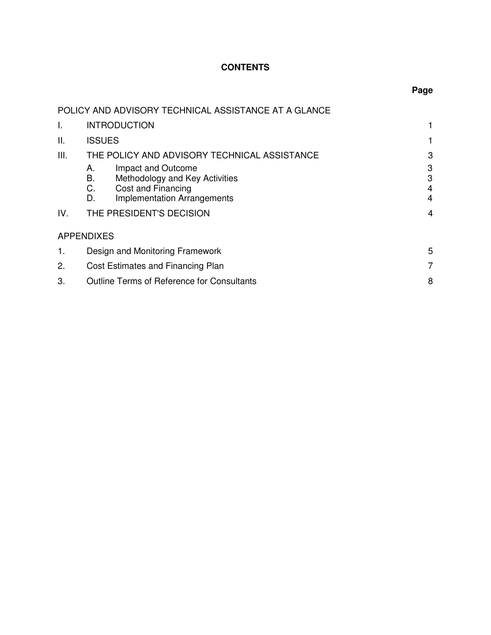## **CONTENTS**

| ×<br>۰.<br>۰.<br>.,<br>۰. |
|---------------------------|
|---------------------------|

|      | POLICY AND ADVISORY TECHNICAL ASSISTANCE AT A GLANCE |   |  |
|------|------------------------------------------------------|---|--|
| I.   | <b>INTRODUCTION</b>                                  | 1 |  |
| ΙΙ.  | <b>ISSUES</b>                                        |   |  |
| III. | THE POLICY AND ADVISORY TECHNICAL ASSISTANCE         | 3 |  |
|      | Impact and Outcome<br>А.                             | 3 |  |
|      | В.<br>Methodology and Key Activities                 | 3 |  |
|      | С.<br>Cost and Financing                             | 4 |  |
|      | <b>Implementation Arrangements</b><br>D.             | 4 |  |
| IV.  | THE PRESIDENT'S DECISION                             |   |  |
|      | <b>APPENDIXES</b>                                    |   |  |
| 1.   | Design and Monitoring Framework                      | 5 |  |
| 2.   | Cost Estimates and Financing Plan                    | 7 |  |
| 3.   | <b>Outline Terms of Reference for Consultants</b>    | 8 |  |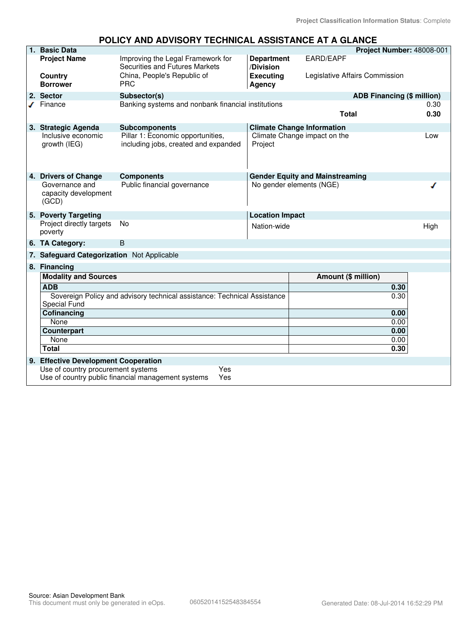#### **POLICY AND ADVISORY TECHNICAL ASSISTANCE AT A GLANCE 1. Basic Data Project Number:** 48008-001 EARD/EAPF **Project Name** Improving the Legal Framework for **Department** Securities and Futures Markets **/Division Country China, People's Republic of The Search Country China, People's Republic of The China Bread Agency** Legislative Affairs Commission **Borrower Agency 2. Sector Subsector(s) ADB Financing (\$ million)** Finance Banking systems and nonbank financial institutions 0.30 **Total 0.30 3. Strategic Agenda Subcomponents Climate Change Information**  Inclusive economic Pillar 1: Economic opportunities, Climate Change impact on the Low growth (IEG) including jobs, created and expanded Project **4. Drivers of Change Components**<br>
Governance and Public financial governance **Components**<br>
No gender elements (NGE) Governance and No gender elements (NGE) J capacity development (GCD) **5. Poverty Targeting**<br> **Project directly targets** No **Report Alation-Wide** Project directly targets No example and the Nation-wide contract the High High High poverty **6. TA Category:** B **qq 7. Safeguard Categorization** Not Applicable **8. Financing Modality and Sources Amount (\$ million) ADB 0.30** Sovereign Policy and advisory technical assistance: Technical Assistance 0.30 Special Fund **Cofinancing 0.00** None 0.00 **Counterpart 0.00**<br>
None 0.00 None 0.00 **Total 0.30 9. Effective Development Cooperation** Use of country procurement systems Yes Use of country public financial management systems Yes

#### Source: Asian Development Bank This document must only be generated in eOps. 06052014152548384554 Generated Date: 08-Jul-2014 16:52:29 PM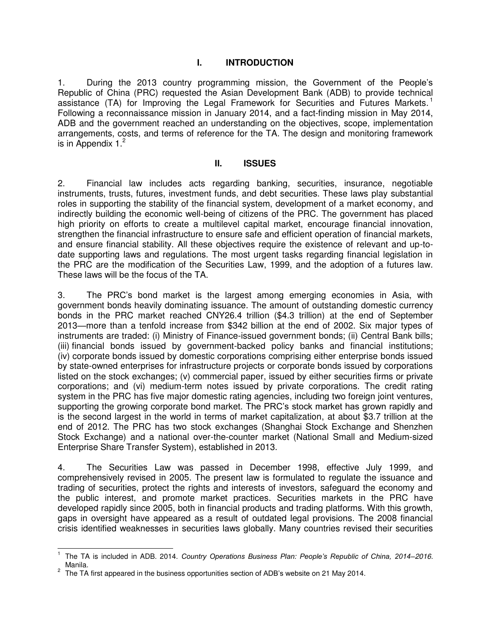#### **I. INTRODUCTION**

1. During the 2013 country programming mission, the Government of the People's Republic of China (PRC) requested the Asian Development Bank (ADB) to provide technical assistance (TA) for Improving the Legal Framework for Securities and Futures Markets.<sup>1</sup> Following a reconnaissance mission in January 2014, and a fact-finding mission in May 2014, ADB and the government reached an understanding on the objectives, scope, implementation arrangements, costs, and terms of reference for the TA. The design and monitoring framework is in Appendix  $1<sup>2</sup>$ 

#### **II. ISSUES**

2. Financial law includes acts regarding banking, securities, insurance, negotiable instruments, trusts, futures, investment funds, and debt securities. These laws play substantial roles in supporting the stability of the financial system, development of a market economy, and indirectly building the economic well-being of citizens of the PRC. The government has placed high priority on efforts to create a multilevel capital market, encourage financial innovation, strengthen the financial infrastructure to ensure safe and efficient operation of financial markets, and ensure financial stability. All these objectives require the existence of relevant and up-todate supporting laws and regulations. The most urgent tasks regarding financial legislation in the PRC are the modification of the Securities Law, 1999, and the adoption of a futures law. These laws will be the focus of the TA.

3. The PRC's bond market is the largest among emerging economies in Asia, with government bonds heavily dominating issuance. The amount of outstanding domestic currency bonds in the PRC market reached CNY26.4 trillion (\$4.3 trillion) at the end of September 2013—more than a tenfold increase from \$342 billion at the end of 2002. Six major types of instruments are traded: (i) Ministry of Finance-issued government bonds; (ii) Central Bank bills; (iii) financial bonds issued by government-backed policy banks and financial institutions; (iv) corporate bonds issued by domestic corporations comprising either enterprise bonds issued by state-owned enterprises for infrastructure projects or corporate bonds issued by corporations listed on the stock exchanges; (v) commercial paper, issued by either securities firms or private corporations; and (vi) medium-term notes issued by private corporations. The credit rating system in the PRC has five major domestic rating agencies, including two foreign joint ventures, supporting the growing corporate bond market. The PRC's stock market has grown rapidly and is the second largest in the world in terms of market capitalization, at about \$3.7 trillion at the end of 2012. The PRC has two stock exchanges (Shanghai Stock Exchange and Shenzhen Stock Exchange) and a national over-the-counter market (National Small and Medium-sized Enterprise Share Transfer System), established in 2013.

4. The Securities Law was passed in December 1998, effective July 1999, and comprehensively revised in 2005. The present law is formulated to regulate the issuance and trading of securities, protect the rights and interests of investors, safeguard the economy and the public interest, and promote market practices. Securities markets in the PRC have developed rapidly since 2005, both in financial products and trading platforms. With this growth, gaps in oversight have appeared as a result of outdated legal provisions. The 2008 financial crisis identified weaknesses in securities laws globally. Many countries revised their securities

 $\overline{a}$ 

<sup>1</sup> The TA is included in ADB. 2014. *Country Operations Business Plan: People's Republic of China, 2014–2016.* Manila.

 $2$  The TA first appeared in the business opportunities section of ADB's website on 21 May 2014.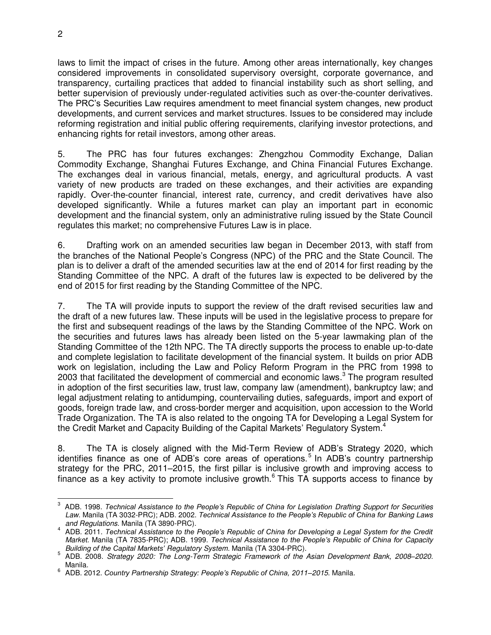laws to limit the impact of crises in the future. Among other areas internationally, key changes considered improvements in consolidated supervisory oversight, corporate governance, and transparency, curtailing practices that added to financial instability such as short selling, and better supervision of previously under-regulated activities such as over-the-counter derivatives. The PRC's Securities Law requires amendment to meet financial system changes, new product developments, and current services and market structures. Issues to be considered may include reforming registration and initial public offering requirements, clarifying investor protections, and enhancing rights for retail investors, among other areas.

5. The PRC has four futures exchanges: Zhengzhou Commodity Exchange, Dalian Commodity Exchange, Shanghai Futures Exchange, and China Financial Futures Exchange. The exchanges deal in various financial, metals, energy, and agricultural products. A vast variety of new products are traded on these exchanges, and their activities are expanding rapidly. Over-the-counter financial, interest rate, currency, and credit derivatives have also developed significantly. While a futures market can play an important part in economic development and the financial system, only an administrative ruling issued by the State Council regulates this market; no comprehensive Futures Law is in place.

6. Drafting work on an amended securities law began in December 2013, with staff from the branches of the National People's Congress (NPC) of the PRC and the State Council. The plan is to deliver a draft of the amended securities law at the end of 2014 for first reading by the Standing Committee of the NPC. A draft of the futures law is expected to be delivered by the end of 2015 for first reading by the Standing Committee of the NPC.

7. The TA will provide inputs to support the review of the draft revised securities law and the draft of a new futures law. These inputs will be used in the legislative process to prepare for the first and subsequent readings of the laws by the Standing Committee of the NPC. Work on the securities and futures laws has already been listed on the 5-year lawmaking plan of the Standing Committee of the 12th NPC. The TA directly supports the process to enable up-to-date and complete legislation to facilitate development of the financial system. It builds on prior ADB work on legislation, including the Law and Policy Reform Program in the PRC from 1998 to 2003 that facilitated the development of commercial and economic laws. $3$  The program resulted in adoption of the first securities law, trust law, company law (amendment), bankruptcy law; and legal adjustment relating to antidumping, countervailing duties, safeguards, import and export of goods, foreign trade law, and cross-border merger and acquisition, upon accession to the World Trade Organization. The TA is also related to the ongoing TA for Developing a Legal System for the Credit Market and Capacity Building of the Capital Markets' Regulatory System.<sup>4</sup>

8. The TA is closely aligned with the Mid-Term Review of ADB's Strategy 2020, which identifies finance as one of ADB's core areas of operations.<sup>5</sup> In ADB's country partnership strategy for the PRC, 2011–2015, the first pillar is inclusive growth and improving access to finance as a key activity to promote inclusive growth.<sup>6</sup> This TA supports access to finance by

 3 ADB. 1998. *Technical Assistance to the People's Republic of China for Legislation Drafting Support for Securities*  Law. Manila (TA 3032-PRC); ADB. 2002. *Technical Assistance to the People's Republic of China for Banking Laws* 

*and Regulations.* Manila (TA 3890-PRC). 4 ADB. 2011. *Technical Assistance to the People's Republic of China for Developing a Legal System for the Credit Market.* Manila (TA 7835-PRC); ADB. 1999. *Technical Assistance to the People's Republic of China for Capacity Building of the Capital Markets' Regulatory System.* Manila (TA 3304-PRC).

<sup>5</sup> ADB. 2008. *Strategy 2020: The Long-Term Strategic Framework of the Asian Development Bank, 2008–2020.* Manila.

<sup>6</sup> ADB. 2012. *Country Partnership Strategy: People's Republic of China, 2011–2015*. Manila.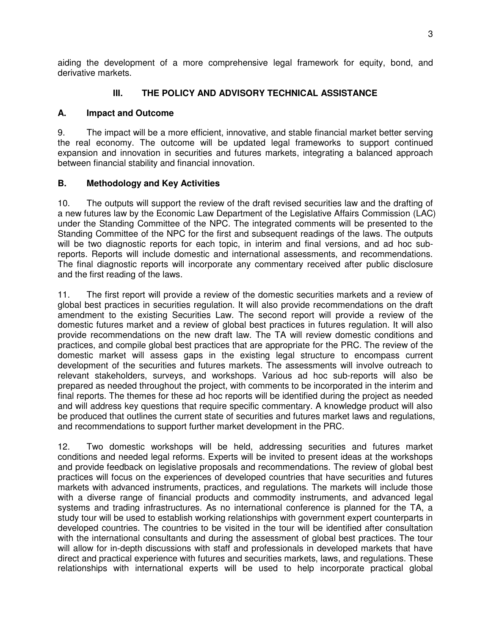aiding the development of a more comprehensive legal framework for equity, bond, and derivative markets.

#### **III. THE POLICY AND ADVISORY TECHNICAL ASSISTANCE**

#### **A. Impact and Outcome**

9. The impact will be a more efficient, innovative, and stable financial market better serving the real economy. The outcome will be updated legal frameworks to support continued expansion and innovation in securities and futures markets, integrating a balanced approach between financial stability and financial innovation.

#### **B. Methodology and Key Activities**

10. The outputs will support the review of the draft revised securities law and the drafting of a new futures law by the Economic Law Department of the Legislative Affairs Commission (LAC) under the Standing Committee of the NPC. The integrated comments will be presented to the Standing Committee of the NPC for the first and subsequent readings of the laws. The outputs will be two diagnostic reports for each topic, in interim and final versions, and ad hoc subreports. Reports will include domestic and international assessments, and recommendations. The final diagnostic reports will incorporate any commentary received after public disclosure and the first reading of the laws.

11. The first report will provide a review of the domestic securities markets and a review of global best practices in securities regulation. It will also provide recommendations on the draft amendment to the existing Securities Law. The second report will provide a review of the domestic futures market and a review of global best practices in futures regulation. It will also provide recommendations on the new draft law. The TA will review domestic conditions and practices, and compile global best practices that are appropriate for the PRC. The review of the domestic market will assess gaps in the existing legal structure to encompass current development of the securities and futures markets. The assessments will involve outreach to relevant stakeholders, surveys, and workshops. Various ad hoc sub-reports will also be prepared as needed throughout the project, with comments to be incorporated in the interim and final reports. The themes for these ad hoc reports will be identified during the project as needed and will address key questions that require specific commentary. A knowledge product will also be produced that outlines the current state of securities and futures market laws and regulations, and recommendations to support further market development in the PRC.

12. Two domestic workshops will be held, addressing securities and futures market conditions and needed legal reforms. Experts will be invited to present ideas at the workshops and provide feedback on legislative proposals and recommendations. The review of global best practices will focus on the experiences of developed countries that have securities and futures markets with advanced instruments, practices, and regulations. The markets will include those with a diverse range of financial products and commodity instruments, and advanced legal systems and trading infrastructures. As no international conference is planned for the TA, a study tour will be used to establish working relationships with government expert counterparts in developed countries. The countries to be visited in the tour will be identified after consultation with the international consultants and during the assessment of global best practices. The tour will allow for in-depth discussions with staff and professionals in developed markets that have direct and practical experience with futures and securities markets, laws, and regulations. These relationships with international experts will be used to help incorporate practical global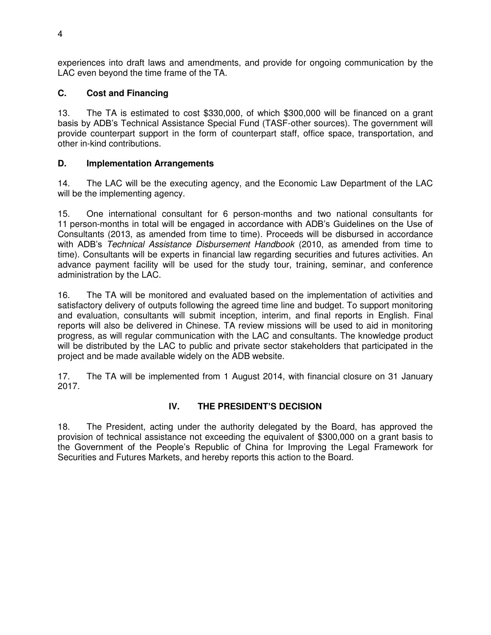experiences into draft laws and amendments, and provide for ongoing communication by the LAC even beyond the time frame of the TA.

### **C. Cost and Financing**

13. The TA is estimated to cost \$330,000, of which \$300,000 will be financed on a grant basis by ADB's Technical Assistance Special Fund (TASF-other sources). The government will provide counterpart support in the form of counterpart staff, office space, transportation, and other in-kind contributions.

### **D. Implementation Arrangements**

14. The LAC will be the executing agency, and the Economic Law Department of the LAC will be the implementing agency.

15. One international consultant for 6 person-months and two national consultants for 11 person-months in total will be engaged in accordance with ADB's Guidelines on the Use of Consultants (2013, as amended from time to time). Proceeds will be disbursed in accordance with ADB's *Technical Assistance Disbursement Handbook* (2010, as amended from time to time). Consultants will be experts in financial law regarding securities and futures activities. An advance payment facility will be used for the study tour, training, seminar, and conference administration by the LAC.

16. The TA will be monitored and evaluated based on the implementation of activities and satisfactory delivery of outputs following the agreed time line and budget. To support monitoring and evaluation, consultants will submit inception, interim, and final reports in English. Final reports will also be delivered in Chinese. TA review missions will be used to aid in monitoring progress, as will regular communication with the LAC and consultants. The knowledge product will be distributed by the LAC to public and private sector stakeholders that participated in the project and be made available widely on the ADB website.

17. The TA will be implemented from 1 August 2014, with financial closure on 31 January 2017.

# **IV. THE PRESIDENT'S DECISION**

18. The President, acting under the authority delegated by the Board, has approved the provision of technical assistance not exceeding the equivalent of \$300,000 on a grant basis to the Government of the People's Republic of China for Improving the Legal Framework for Securities and Futures Markets, and hereby reports this action to the Board.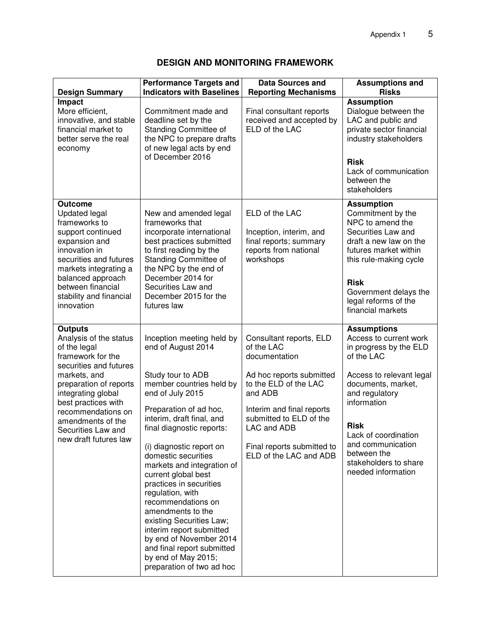# **DESIGN AND MONITORING FRAMEWORK**

| <b>Design Summary</b>                                                                                                                                                                                                                                                                    | <b>Performance Targets and</b><br><b>Indicators with Baselines</b>                                                                                                                                                                                                                                                                                                                                                                                                                                                                                                              | <b>Data Sources and</b><br><b>Reporting Mechanisms</b>                                                                                                                                                                                                | <b>Assumptions and</b><br><b>Risks</b>                                                                                                                                                                                                                                                            |
|------------------------------------------------------------------------------------------------------------------------------------------------------------------------------------------------------------------------------------------------------------------------------------------|---------------------------------------------------------------------------------------------------------------------------------------------------------------------------------------------------------------------------------------------------------------------------------------------------------------------------------------------------------------------------------------------------------------------------------------------------------------------------------------------------------------------------------------------------------------------------------|-------------------------------------------------------------------------------------------------------------------------------------------------------------------------------------------------------------------------------------------------------|---------------------------------------------------------------------------------------------------------------------------------------------------------------------------------------------------------------------------------------------------------------------------------------------------|
| Impact<br>More efficient,<br>innovative, and stable<br>financial market to<br>better serve the real<br>economy                                                                                                                                                                           | Commitment made and<br>deadline set by the<br>Standing Committee of<br>the NPC to prepare drafts<br>of new legal acts by end<br>of December 2016                                                                                                                                                                                                                                                                                                                                                                                                                                | Final consultant reports<br>received and accepted by<br>ELD of the LAC                                                                                                                                                                                | <b>Assumption</b><br>Dialogue between the<br>LAC and public and<br>private sector financial<br>industry stakeholders<br><b>Risk</b><br>Lack of communication<br>between the<br>stakeholders                                                                                                       |
| <b>Outcome</b><br><b>Updated legal</b><br>frameworks to<br>support continued<br>expansion and<br>innovation in<br>securities and futures<br>markets integrating a<br>balanced approach<br>between financial<br>stability and financial<br>innovation                                     | New and amended legal<br>frameworks that<br>incorporate international<br>best practices submitted<br>to first reading by the<br>Standing Committee of<br>the NPC by the end of<br>December 2014 for<br>Securities Law and<br>December 2015 for the<br>futures law                                                                                                                                                                                                                                                                                                               | ELD of the LAC<br>Inception, interim, and<br>final reports; summary<br>reports from national<br>workshops                                                                                                                                             | <b>Assumption</b><br>Commitment by the<br>NPC to amend the<br>Securities Law and<br>draft a new law on the<br>futures market within<br>this rule-making cycle<br><b>Risk</b><br>Government delays the<br>legal reforms of the<br>financial markets                                                |
| <b>Outputs</b><br>Analysis of the status<br>of the legal<br>framework for the<br>securities and futures<br>markets, and<br>preparation of reports<br>integrating global<br>best practices with<br>recommendations on<br>amendments of the<br>Securities Law and<br>new draft futures law | Inception meeting held by<br>end of August 2014<br>Study tour to ADB<br>member countries held by<br>end of July 2015<br>Preparation of ad hoc,<br>interim, draft final, and<br>final diagnostic reports:<br>(i) diagnostic report on<br>domestic securities<br>markets and integration of<br>current global best<br>practices in securities<br>regulation, with<br>recommendations on<br>amendments to the<br>existing Securities Law;<br>interim report submitted<br>by end of November 2014<br>and final report submitted<br>by end of May 2015;<br>preparation of two ad hoc | Consultant reports, ELD<br>of the LAC<br>documentation<br>Ad hoc reports submitted<br>to the ELD of the LAC<br>and ADB<br>Interim and final reports<br>submitted to ELD of the<br>LAC and ADB<br>Final reports submitted to<br>ELD of the LAC and ADB | <b>Assumptions</b><br>Access to current work<br>in progress by the ELD<br>of the LAC<br>Access to relevant legal<br>documents, market,<br>and regulatory<br>information<br><b>Risk</b><br>Lack of coordination<br>and communication<br>between the<br>stakeholders to share<br>needed information |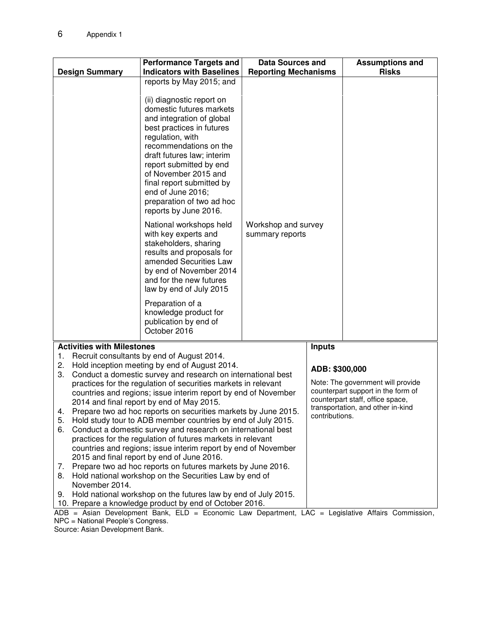|                                                                                                                                  | <b>Design Summary</b>             | <b>Performance Targets and</b><br><b>Indicators with Baselines</b>                                                                                                                                                                                                                                                                                     | <b>Data Sources and</b><br><b>Reporting Mechanisms</b> |                                   | <b>Assumptions and</b><br><b>Risks</b>                                  |
|----------------------------------------------------------------------------------------------------------------------------------|-----------------------------------|--------------------------------------------------------------------------------------------------------------------------------------------------------------------------------------------------------------------------------------------------------------------------------------------------------------------------------------------------------|--------------------------------------------------------|-----------------------------------|-------------------------------------------------------------------------|
|                                                                                                                                  |                                   | reports by May 2015; and                                                                                                                                                                                                                                                                                                                               |                                                        |                                   |                                                                         |
|                                                                                                                                  |                                   | (ii) diagnostic report on<br>domestic futures markets<br>and integration of global<br>best practices in futures<br>regulation, with<br>recommendations on the<br>draft futures law; interim<br>report submitted by end<br>of November 2015 and<br>final report submitted by<br>end of June 2016;<br>preparation of two ad hoc<br>reports by June 2016. |                                                        |                                   |                                                                         |
|                                                                                                                                  |                                   | National workshops held<br>with key experts and<br>stakeholders, sharing<br>results and proposals for<br>amended Securities Law<br>by end of November 2014<br>and for the new futures<br>law by end of July 2015                                                                                                                                       | Workshop and survey<br>summary reports                 |                                   |                                                                         |
|                                                                                                                                  |                                   | Preparation of a<br>knowledge product for<br>publication by end of<br>October 2016                                                                                                                                                                                                                                                                     |                                                        |                                   |                                                                         |
|                                                                                                                                  | <b>Activities with Milestones</b> |                                                                                                                                                                                                                                                                                                                                                        |                                                        | <b>Inputs</b>                     |                                                                         |
| 1.                                                                                                                               |                                   | Recruit consultants by end of August 2014.                                                                                                                                                                                                                                                                                                             |                                                        |                                   |                                                                         |
| 2.                                                                                                                               |                                   | Hold inception meeting by end of August 2014.                                                                                                                                                                                                                                                                                                          |                                                        | ADB: \$300,000                    |                                                                         |
| 3.                                                                                                                               |                                   | Conduct a domestic survey and research on international best                                                                                                                                                                                                                                                                                           |                                                        |                                   |                                                                         |
| practices for the regulation of securities markets in relevant<br>countries and regions; issue interim report by end of November |                                   |                                                                                                                                                                                                                                                                                                                                                        |                                                        |                                   | Note: The government will provide<br>counterpart support in the form of |
| 2014 and final report by end of May 2015.                                                                                        |                                   |                                                                                                                                                                                                                                                                                                                                                        | counterpart staff, office space,                       |                                   |                                                                         |
| Prepare two ad hoc reports on securities markets by June 2015.<br>4.                                                             |                                   |                                                                                                                                                                                                                                                                                                                                                        | contributions.                                         | transportation, and other in-kind |                                                                         |
| 5.<br>Hold study tour to ADB member countries by end of July 2015.                                                               |                                   |                                                                                                                                                                                                                                                                                                                                                        |                                                        |                                   |                                                                         |
| 6.                                                                                                                               |                                   | Conduct a domestic survey and research on international best                                                                                                                                                                                                                                                                                           |                                                        |                                   |                                                                         |
|                                                                                                                                  |                                   | practices for the regulation of futures markets in relevant                                                                                                                                                                                                                                                                                            |                                                        |                                   |                                                                         |
| countries and regions; issue interim report by end of November<br>2015 and final report by end of June 2016.                     |                                   |                                                                                                                                                                                                                                                                                                                                                        |                                                        |                                   |                                                                         |
| 7.                                                                                                                               |                                   | Prepare two ad hoc reports on futures markets by June 2016.                                                                                                                                                                                                                                                                                            |                                                        |                                   |                                                                         |
| 8.                                                                                                                               |                                   | Hold national workshop on the Securities Law by end of                                                                                                                                                                                                                                                                                                 |                                                        |                                   |                                                                         |
|                                                                                                                                  | November 2014.                    |                                                                                                                                                                                                                                                                                                                                                        |                                                        |                                   |                                                                         |
| 9.                                                                                                                               |                                   | Hold national workshop on the futures law by end of July 2015.                                                                                                                                                                                                                                                                                         |                                                        |                                   |                                                                         |
|                                                                                                                                  |                                   | 10. Prepare a knowledge product by end of October 2016.                                                                                                                                                                                                                                                                                                |                                                        |                                   |                                                                         |

ADB = Asian Development Bank, ELD = Economic Law Department, LAC = Legislative Affairs Commission, NPC = National People's Congress.

Source: Asian Development Bank.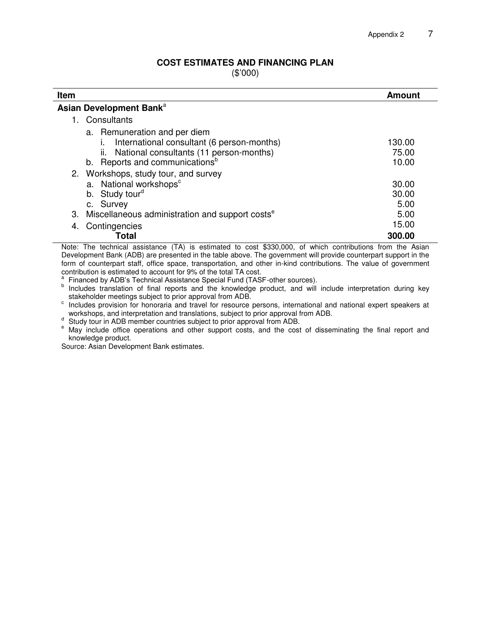#### **COST ESTIMATES AND FINANCING PLAN**

(\$'000)

| Item                                                                                                                                                                    | <b>Amount</b>            |  |  |
|-------------------------------------------------------------------------------------------------------------------------------------------------------------------------|--------------------------|--|--|
| Asian Development Bank <sup>a</sup>                                                                                                                                     |                          |  |  |
| 1. Consultants                                                                                                                                                          |                          |  |  |
| a. Remuneration and per diem<br>International consultant (6 person-months)<br>ii. National consultants (11 person-months)<br>b. Reports and communications <sup>b</sup> | 130.00<br>75.00<br>10.00 |  |  |
| 2. Workshops, study tour, and survey<br>a. National workshops <sup>c</sup><br>b. Study tour <sup>d</sup><br>c. Survey                                                   | 30.00<br>30.00<br>5.00   |  |  |
| Miscellaneous administration and support costs <sup>e</sup><br>З.                                                                                                       | 5.00                     |  |  |
| Contingencies<br>4.<br>Total                                                                                                                                            | 15.00<br>300.00          |  |  |

Note: The technical assistance (TA) is estimated to cost \$330,000, of which contributions from the Asian Development Bank (ADB) are presented in the table above. The government will provide counterpart support in the form of counterpart staff, office space, transportation, and other in-kind contributions. The value of government contribution is estimated to account for 9% of the total TA cost.<br><sup>a</sup> Financed by ADP's Technical Assistance Special Fund (TASI

Financed by ADB's Technical Assistance Special Fund (TASF-other sources).

<sup>b</sup> Includes translation of final reports and the knowledge product, and will include interpretation during key stakeholder meetings subject to prior approval from ADB.

c Includes provision for honoraria and travel for resource persons, international and national expert speakers at workshops, and interpretation and translations, subject to prior approval from ADB.

designed Study tour in ADB member countries subject to prior approval from ADB.

<sup>e</sup> May include office operations and other support costs, and the cost of disseminating the final report and knowledge product.

Source: Asian Development Bank estimates.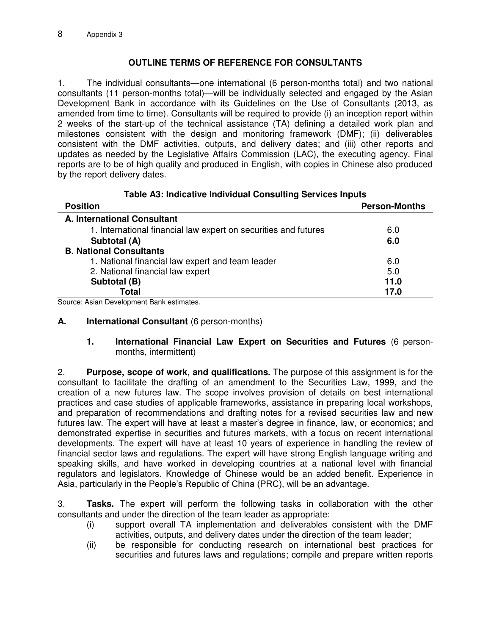## **OUTLINE TERMS OF REFERENCE FOR CONSULTANTS**

1. The individual consultants—one international (6 person-months total) and two national consultants (11 person-months total)—will be individually selected and engaged by the Asian Development Bank in accordance with its Guidelines on the Use of Consultants (2013, as amended from time to time). Consultants will be required to provide (i) an inception report within 2 weeks of the start-up of the technical assistance (TA) defining a detailed work plan and milestones consistent with the design and monitoring framework (DMF); (ii) deliverables consistent with the DMF activities, outputs, and delivery dates; and (iii) other reports and updates as needed by the Legislative Affairs Commission (LAC), the executing agency. Final reports are to be of high quality and produced in English, with copies in Chinese also produced by the report delivery dates.

| rable AS. Mulcative mulviqual Consulting Services imputs        |                      |  |
|-----------------------------------------------------------------|----------------------|--|
| <b>Position</b>                                                 | <b>Person-Months</b> |  |
| A. International Consultant                                     |                      |  |
| 1. International financial law expert on securities and futures | 6.0                  |  |
| Subtotal (A)                                                    | 6.0                  |  |
| <b>B. National Consultants</b>                                  |                      |  |
| 1. National financial law expert and team leader                | 6.0                  |  |
| 2. National financial law expert                                | 5.0                  |  |
| Subtotal (B)                                                    | 11.0                 |  |
| <b>Total</b>                                                    | 17.0                 |  |

# **Table A3: Indicative Individual Consulting Services Inputs**

Source: Asian Development Bank estimates.

#### **A. International Consultant** (6 person-months)

#### **1. International Financial Law Expert on Securities and Futures** (6 personmonths, intermittent)

2. **Purpose, scope of work, and qualifications.** The purpose of this assignment is for the consultant to facilitate the drafting of an amendment to the Securities Law, 1999, and the creation of a new futures law. The scope involves provision of details on best international practices and case studies of applicable frameworks, assistance in preparing local workshops, and preparation of recommendations and drafting notes for a revised securities law and new futures law. The expert will have at least a master's degree in finance, law, or economics; and demonstrated expertise in securities and futures markets, with a focus on recent international developments. The expert will have at least 10 years of experience in handling the review of financial sector laws and regulations. The expert will have strong English language writing and speaking skills, and have worked in developing countries at a national level with financial regulators and legislators. Knowledge of Chinese would be an added benefit. Experience in Asia, particularly in the People's Republic of China (PRC), will be an advantage.

3. **Tasks.** The expert will perform the following tasks in collaboration with the other consultants and under the direction of the team leader as appropriate:

- (i) support overall TA implementation and deliverables consistent with the DMF activities, outputs, and delivery dates under the direction of the team leader;
- (ii) be responsible for conducting research on international best practices for securities and futures laws and regulations; compile and prepare written reports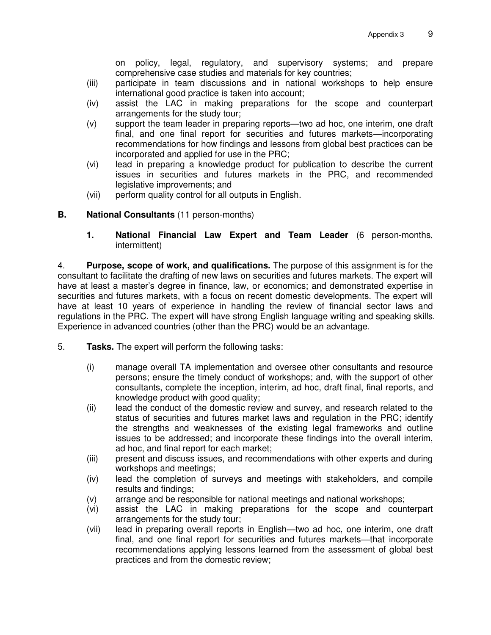on policy, legal, regulatory, and supervisory systems; and prepare comprehensive case studies and materials for key countries;

- (iii) participate in team discussions and in national workshops to help ensure international good practice is taken into account;
- (iv) assist the LAC in making preparations for the scope and counterpart arrangements for the study tour;
- (v) support the team leader in preparing reports—two ad hoc, one interim, one draft final, and one final report for securities and futures markets—incorporating recommendations for how findings and lessons from global best practices can be incorporated and applied for use in the PRC;
- (vi) lead in preparing a knowledge product for publication to describe the current issues in securities and futures markets in the PRC, and recommended legislative improvements; and
- (vii) perform quality control for all outputs in English.

#### **B. National Consultants** (11 person-months)

**1. National Financial Law Expert and Team Leader** (6 person-months, intermittent)

4. **Purpose, scope of work, and qualifications.** The purpose of this assignment is for the consultant to facilitate the drafting of new laws on securities and futures markets. The expert will have at least a master's degree in finance, law, or economics; and demonstrated expertise in securities and futures markets, with a focus on recent domestic developments. The expert will have at least 10 years of experience in handling the review of financial sector laws and regulations in the PRC. The expert will have strong English language writing and speaking skills. Experience in advanced countries (other than the PRC) would be an advantage.

- 5. **Tasks.** The expert will perform the following tasks:
	- (i) manage overall TA implementation and oversee other consultants and resource persons; ensure the timely conduct of workshops; and, with the support of other consultants, complete the inception, interim, ad hoc, draft final, final reports, and knowledge product with good quality;
	- (ii) lead the conduct of the domestic review and survey, and research related to the status of securities and futures market laws and regulation in the PRC; identify the strengths and weaknesses of the existing legal frameworks and outline issues to be addressed; and incorporate these findings into the overall interim, ad hoc, and final report for each market;
	- (iii) present and discuss issues, and recommendations with other experts and during workshops and meetings;
	- (iv) lead the completion of surveys and meetings with stakeholders, and compile results and findings;
	- (v) arrange and be responsible for national meetings and national workshops;
	- (vi) assist the LAC in making preparations for the scope and counterpart arrangements for the study tour;
	- (vii) lead in preparing overall reports in English—two ad hoc, one interim, one draft final, and one final report for securities and futures markets—that incorporate recommendations applying lessons learned from the assessment of global best practices and from the domestic review;